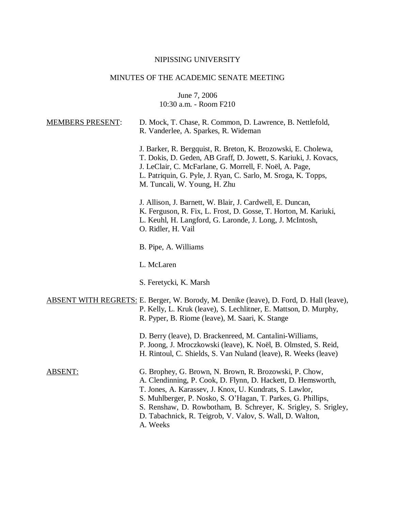## NIPISSING UNIVERSITY

# MINUTES OF THE ACADEMIC SENATE MEETING

June 7, 2006 10:30 a.m. - Room F210

| <b>MEMBERS PRESENT:</b> | D. Mock, T. Chase, R. Common, D. Lawrence, B. Nettlefold,<br>R. Vanderlee, A. Sparkes, R. Wideman                                                                                                                                                                                                                                                                                           |
|-------------------------|---------------------------------------------------------------------------------------------------------------------------------------------------------------------------------------------------------------------------------------------------------------------------------------------------------------------------------------------------------------------------------------------|
|                         | J. Barker, R. Bergquist, R. Breton, K. Brozowski, E. Cholewa,<br>T. Dokis, D. Geden, AB Graff, D. Jowett, S. Kariuki, J. Kovacs,<br>J. LeClair, C. McFarlane, G. Morrell, F. Noël, A. Page,<br>L. Patriquin, G. Pyle, J. Ryan, C. Sarlo, M. Sroga, K. Topps,<br>M. Tuncali, W. Young, H. Zhu                                                                                                |
|                         | J. Allison, J. Barnett, W. Blair, J. Cardwell, E. Duncan,<br>K. Ferguson, R. Fix, L. Frost, D. Gosse, T. Horton, M. Kariuki,<br>L. Keuhl, H. Langford, G. Laronde, J. Long, J. McIntosh,<br>O. Ridler, H. Vail                                                                                                                                                                              |
|                         | B. Pipe, A. Williams                                                                                                                                                                                                                                                                                                                                                                        |
|                         | L. McLaren                                                                                                                                                                                                                                                                                                                                                                                  |
|                         | S. Feretycki, K. Marsh                                                                                                                                                                                                                                                                                                                                                                      |
|                         | <b>ABSENT WITH REGRETS:</b> E. Berger, W. Borody, M. Denike (leave), D. Ford, D. Hall (leave),<br>P. Kelly, L. Kruk (leave), S. Lechlitner, E. Mattson, D. Murphy,<br>R. Pyper, B. Riome (leave), M. Saari, K. Stange                                                                                                                                                                       |
|                         | D. Berry (leave), D. Brackenreed, M. Cantalini-Williams,<br>P. Joong, J. Mroczkowski (leave), K. Noël, B. Olmsted, S. Reid,<br>H. Rintoul, C. Shields, S. Van Nuland (leave), R. Weeks (leave)                                                                                                                                                                                              |
| <b>ABSENT:</b>          | G. Brophey, G. Brown, N. Brown, R. Brozowski, P. Chow,<br>A. Clendinning, P. Cook, D. Flynn, D. Hackett, D. Hemsworth,<br>T. Jones, A. Karassev, J. Knox, U. Kundrats, S. Lawlor,<br>S. Muhlberger, P. Nosko, S. O'Hagan, T. Parkes, G. Phillips,<br>S. Renshaw, D. Rowbotham, B. Schreyer, K. Srigley, S. Srigley,<br>D. Tabachnick, R. Teigrob, V. Valov, S. Wall, D. Walton,<br>A. Weeks |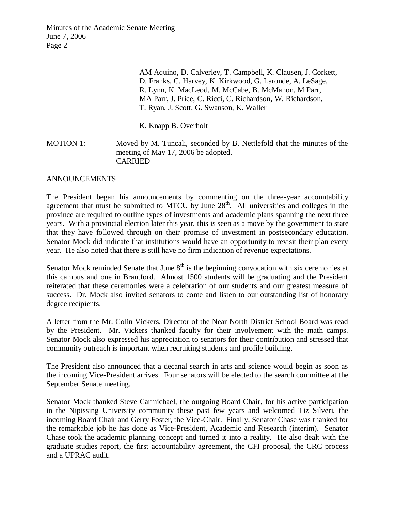> AM Aquino, D. Calverley, T. Campbell, K. Clausen, J. Corkett, D. Franks, C. Harvey, K. Kirkwood, G. Laronde, A. LeSage, R. Lynn, K. MacLeod, M. McCabe, B. McMahon, M Parr, MA Parr, J. Price, C. Ricci, C. Richardson, W. Richardson, T. Ryan, J. Scott, G. Swanson, K. Waller

K. Knapp B. Overholt

MOTION 1: Moved by M. Tuncali, seconded by B. Nettlefold that the minutes of the meeting of May 17, 2006 be adopted. CARRIED

#### ANNOUNCEMENTS

The President began his announcements by commenting on the three-year accountability agreement that must be submitted to MTCU by June  $28<sup>th</sup>$ . All universities and colleges in the province are required to outline types of investments and academic plans spanning the next three years. With a provincial election later this year, this is seen as a move by the government to state that they have followed through on their promise of investment in postsecondary education. Senator Mock did indicate that institutions would have an opportunity to revisit their plan every year. He also noted that there is still have no firm indication of revenue expectations.

Senator Mock reminded Senate that June  $8<sup>th</sup>$  is the beginning convocation with six ceremonies at this campus and one in Brantford. Almost 1500 students will be graduating and the President reiterated that these ceremonies were a celebration of our students and our greatest measure of success. Dr. Mock also invited senators to come and listen to our outstanding list of honorary degree recipients.

A letter from the Mr. Colin Vickers, Director of the Near North District School Board was read by the President. Mr. Vickers thanked faculty for their involvement with the math camps. Senator Mock also expressed his appreciation to senators for their contribution and stressed that community outreach is important when recruiting students and profile building.

The President also announced that a decanal search in arts and science would begin as soon as the incoming Vice-President arrives. Four senators will be elected to the search committee at the September Senate meeting.

Senator Mock thanked Steve Carmichael, the outgoing Board Chair, for his active participation in the Nipissing University community these past few years and welcomed Tiz Silveri, the incoming Board Chair and Gerry Foster, the Vice-Chair. Finally, Senator Chase was thanked for the remarkable job he has done as Vice-President, Academic and Research (interim). Senator Chase took the academic planning concept and turned it into a reality. He also dealt with the graduate studies report, the first accountability agreement, the CFI proposal, the CRC process and a UPRAC audit.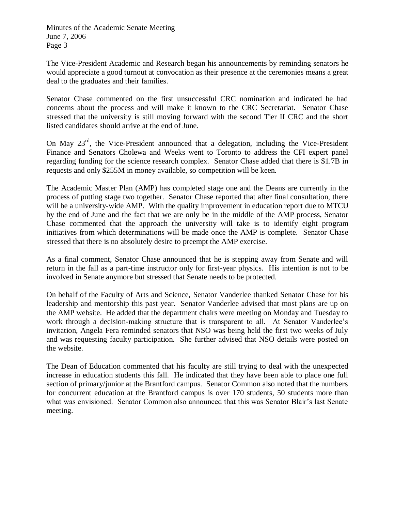The Vice-President Academic and Research began his announcements by reminding senators he would appreciate a good turnout at convocation as their presence at the ceremonies means a great deal to the graduates and their families.

Senator Chase commented on the first unsuccessful CRC nomination and indicated he had concerns about the process and will make it known to the CRC Secretariat. Senator Chase stressed that the university is still moving forward with the second Tier II CRC and the short listed candidates should arrive at the end of June.

On May 23<sup>rd</sup>, the Vice-President announced that a delegation, including the Vice-President Finance and Senators Cholewa and Weeks went to Toronto to address the CFI expert panel regarding funding for the science research complex. Senator Chase added that there is \$1.7B in requests and only \$255M in money available, so competition will be keen.

The Academic Master Plan (AMP) has completed stage one and the Deans are currently in the process of putting stage two together. Senator Chase reported that after final consultation, there will be a university-wide AMP. With the quality improvement in education report due to MTCU by the end of June and the fact that we are only be in the middle of the AMP process, Senator Chase commented that the approach the university will take is to identify eight program initiatives from which determinations will be made once the AMP is complete. Senator Chase stressed that there is no absolutely desire to preempt the AMP exercise.

As a final comment, Senator Chase announced that he is stepping away from Senate and will return in the fall as a part-time instructor only for first-year physics. His intention is not to be involved in Senate anymore but stressed that Senate needs to be protected.

On behalf of the Faculty of Arts and Science, Senator Vanderlee thanked Senator Chase for his leadership and mentorship this past year. Senator Vanderlee advised that most plans are up on the AMP website. He added that the department chairs were meeting on Monday and Tuesday to work through a decision-making structure that is transparent to all. At Senator Vanderlee's invitation, Angela Fera reminded senators that NSO was being held the first two weeks of July and was requesting faculty participation. She further advised that NSO details were posted on the website.

The Dean of Education commented that his faculty are still trying to deal with the unexpected increase in education students this fall. He indicated that they have been able to place one full section of primary/junior at the Brantford campus. Senator Common also noted that the numbers for concurrent education at the Brantford campus is over 170 students, 50 students more than what was envisioned. Senator Common also announced that this was Senator Blair's last Senate meeting.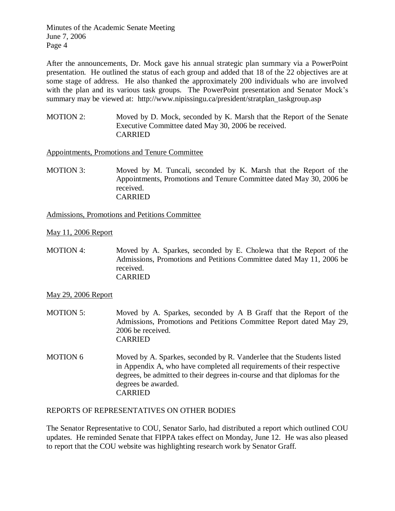After the announcements, Dr. Mock gave his annual strategic plan summary via a PowerPoint presentation. He outlined the status of each group and added that 18 of the 22 objectives are at some stage of address. He also thanked the approximately 200 individuals who are involved with the plan and its various task groups. The PowerPoint presentation and Senator Mock's summary may be viewed at: http://www.nipissingu.ca/president/stratplan\_taskgroup.asp

MOTION 2: Moved by D. Mock, seconded by K. Marsh that the Report of the Senate Executive Committee dated May 30, 2006 be received. CARRIED

Appointments, Promotions and Tenure Committee

MOTION 3: Moved by M. Tuncali, seconded by K. Marsh that the Report of the Appointments, Promotions and Tenure Committee dated May 30, 2006 be received. CARRIED

Admissions, Promotions and Petitions Committee

May 11, 2006 Report

MOTION 4: Moved by A. Sparkes, seconded by E. Cholewa that the Report of the Admissions, Promotions and Petitions Committee dated May 11, 2006 be received. CARRIED

May 29, 2006 Report

- MOTION 5: Moved by A. Sparkes, seconded by A B Graff that the Report of the Admissions, Promotions and Petitions Committee Report dated May 29, 2006 be received. CARRIED
- MOTION 6 Moved by A. Sparkes, seconded by R. Vanderlee that the Students listed in Appendix A, who have completed all requirements of their respective degrees, be admitted to their degrees in-course and that diplomas for the degrees be awarded. CARRIED

## REPORTS OF REPRESENTATIVES ON OTHER BODIES

The Senator Representative to COU, Senator Sarlo, had distributed a report which outlined COU updates. He reminded Senate that FIPPA takes effect on Monday, June 12. He was also pleased to report that the COU website was highlighting research work by Senator Graff.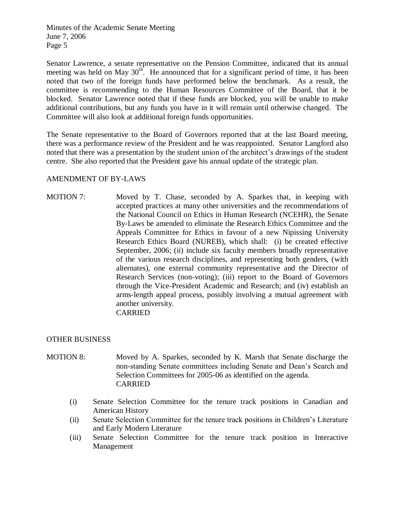Senator Lawrence, a senate representative on the Pension Committee, indicated that its annual meeting was held on May  $30<sup>th</sup>$ . He announced that for a significant period of time, it has been noted that two of the foreign funds have performed below the benchmark. As a result, the committee is recommending to the Human Resources Committee of the Board, that it be blocked. Senator Lawrence noted that if these funds are blocked, you will be unable to make additional contributions, but any funds you have in it will remain until otherwise changed. The Committee will also look at additional foreign funds opportunities.

The Senate representative to the Board of Governors reported that at the last Board meeting, there was a performance review of the President and he was reappointed. Senator Langford also noted that there was a presentation by the student union of the architect's drawings of the student centre. She also reported that the President gave his annual update of the strategic plan.

## AMENDMENT OF BY-LAWS

MOTION 7: Moved by T. Chase, seconded by A. Sparkes that, in keeping with accepted practices at many other universities and the recommendations of the National Council on Ethics in Human Research (NCEHR), the Senate By-Laws be amended to eliminate the Research Ethics Committee and the Appeals Committee for Ethics in favour of a new Nipissing University Research Ethics Board (NUREB), which shall: (i) be created effective September, 2006; (ii) include six faculty members broadly representative of the various research disciplines, and representing both genders, (with alternates), one external community representative and the Director of Research Services (non-voting); (iii) report to the Board of Governors through the Vice-President Academic and Research; and (iv) establish an arms-length appeal process, possibly involving a mutual agreement with another university. CARRIED

## OTHER BUSINESS

- MOTION 8: Moved by A. Sparkes, seconded by K. Marsh that Senate discharge the non-standing Senate committees including Senate and Dean's Search and Selection Committees for 2005-06 as identified on the agenda. CARRIED
	- (i) Senate Selection Committee for the tenure track positions in Canadian and American History
	- (ii) Senate Selection Committee for the tenure track positions in Children's Literature and Early Modern Literature
	- (iii) Senate Selection Committee for the tenure track position in Interactive Management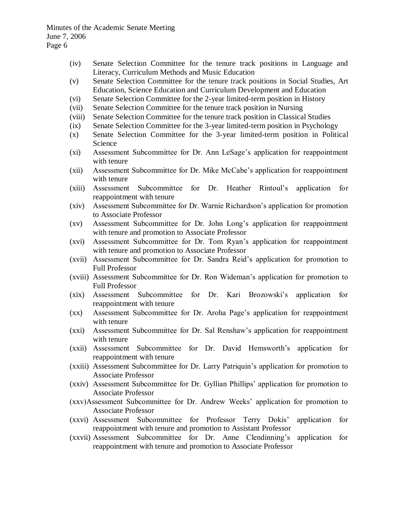- (iv) Senate Selection Committee for the tenure track positions in Language and Literacy, Curriculum Methods and Music Education
- (v) Senate Selection Committee for the tenure track positions in Social Studies, Art Education, Science Education and Curriculum Development and Education
- (vi) Senate Selection Committee for the 2-year limited-term position in History
- (vii) Senate Selection Committee for the tenure track position in Nursing
- (viii) Senate Selection Committee for the tenure track position in Classical Studies
- (ix) Senate Selection Committee for the 3-year limited-term position in Psychology
- (x) Senate Selection Committee for the 3-year limited-term position in Political Science
- (xi) Assessment Subcommittee for Dr. Ann LeSage's application for reappointment with tenure
- (xii) Assessment Subcommittee for Dr. Mike McCabe's application for reappointment with tenure
- (xiii) Assessment Subcommittee for Dr. Heather Rintoul's application for reappointment with tenure
- (xiv) Assessment Subcommittee for Dr. Warnie Richardson's application for promotion to Associate Professor
- (xv) Assessment Subcommittee for Dr. John Long's application for reappointment with tenure and promotion to Associate Professor
- (xvi) Assessment Subcommittee for Dr. Tom Ryan's application for reappointment with tenure and promotion to Associate Professor
- (xvii) Assessment Subcommittee for Dr. Sandra Reid's application for promotion to Full Professor
- (xviii) Assessment Subcommittee for Dr. Ron Wideman's application for promotion to Full Professor
- (xix) Assessment Subcommittee for Dr. Kari Brozowski's application for reappointment with tenure
- (xx) Assessment Subcommittee for Dr. Aroha Page's application for reappointment with tenure
- (xxi) Assessment Subcommittee for Dr. Sal Renshaw's application for reappointment with tenure
- (xxii) Assessment Subcommittee for Dr. David Hemsworth's application for reappointment with tenure
- (xxiii) Assessment Subcommittee for Dr. Larry Patriquin's application for promotion to Associate Professor
- (xxiv) Assessment Subcommittee for Dr. Gyllian Phillips' application for promotion to Associate Professor
- (xxv)Assessment Subcommittee for Dr. Andrew Weeks' application for promotion to Associate Professor
- (xxvi) Assessment Subcommittee for Professor Terry Dokis' application for reappointment with tenure and promotion to Assistant Professor
- (xxvii) Assessment Subcommittee for Dr. Anne Clendinning's application for reappointment with tenure and promotion to Associate Professor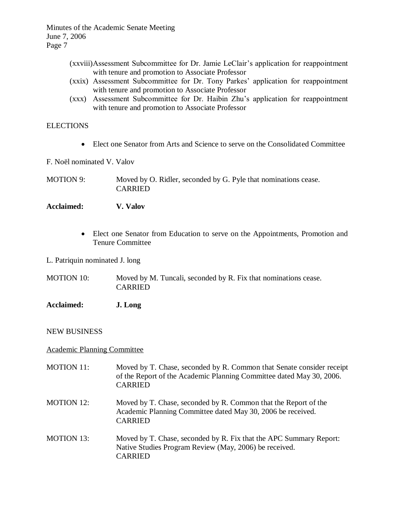- (xxviii)Assessment Subcommittee for Dr. Jamie LeClair's application for reappointment with tenure and promotion to Associate Professor
- (xxix) Assessment Subcommittee for Dr. Tony Parkes' application for reappointment with tenure and promotion to Associate Professor
- (xxx) Assessment Subcommittee for Dr. Haibin Zhu's application for reappointment with tenure and promotion to Associate Professor

## **ELECTIONS**

- Elect one Senator from Arts and Science to serve on the Consolidated Committee
- F. Noël nominated V. Valov
- MOTION 9: Moved by O. Ridler, seconded by G. Pyle that nominations cease. CARRIED

## **Acclaimed: V. Valov**

- Elect one Senator from Education to serve on the Appointments, Promotion and Tenure Committee
- L. Patriquin nominated J. long

MOTION 10: Moved by M. Tuncali, seconded by R. Fix that nominations cease. CARRIED

**Acclaimed: J. Long**

## NEW BUSINESS

## Academic Planning Committee

CARRIED

MOTION 11: Moved by T. Chase, seconded by R. Common that Senate consider receipt of the Report of the Academic Planning Committee dated May 30, 2006. CARRIED MOTION 12: Moved by T. Chase, seconded by R. Common that the Report of the Academic Planning Committee dated May 30, 2006 be received. CARRIED MOTION 13: Moved by T. Chase, seconded by R. Fix that the APC Summary Report: Native Studies Program Review (May, 2006) be received.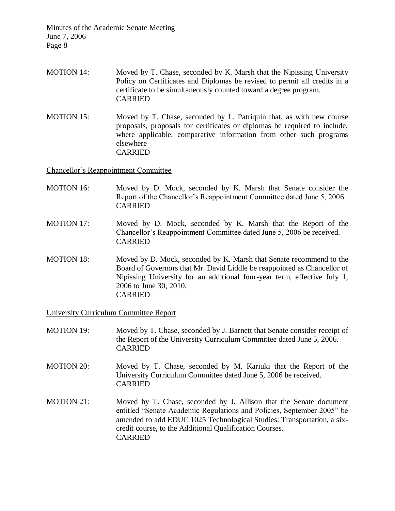- MOTION 14: Moved by T. Chase, seconded by K. Marsh that the Nipissing University Policy on Certificates and Diplomas be revised to permit all credits in a certificate to be simultaneously counted toward a degree program. CARRIED
- MOTION 15: Moved by T. Chase, seconded by L. Patriquin that, as with new course proposals, proposals for certificates or diplomas be required to include, where applicable, comparative information from other such programs elsewhere CARRIED

Chancellor's Reappointment Committee

- MOTION 16: Moved by D. Mock, seconded by K. Marsh that Senate consider the Report of the Chancellor's Reappointment Committee dated June 5, 2006. CARRIED
- MOTION 17: Moved by D. Mock, seconded by K. Marsh that the Report of the Chancellor's Reappointment Committee dated June 5, 2006 be received. CARRIED
- MOTION 18: Moved by D. Mock, seconded by K. Marsh that Senate recommend to the Board of Governors that Mr. David Liddle be reappointed as Chancellor of Nipissing University for an additional four-year term, effective July 1, 2006 to June 30, 2010. CARRIED

University Curriculum Committee Report

- MOTION 19: Moved by T. Chase, seconded by J. Barnett that Senate consider receipt of the Report of the University Curriculum Committee dated June 5, 2006. CARRIED
- MOTION 20: Moved by T. Chase, seconded by M. Kariuki that the Report of the University Curriculum Committee dated June 5, 2006 be received. CARRIED
- MOTION 21: Moved by T. Chase, seconded by J. Allison that the Senate document entitled "Senate Academic Regulations and Policies, September 2005" be amended to add EDUC 1025 Technological Studies: Transportation, a sixcredit course, to the Additional Qualification Courses. CARRIED